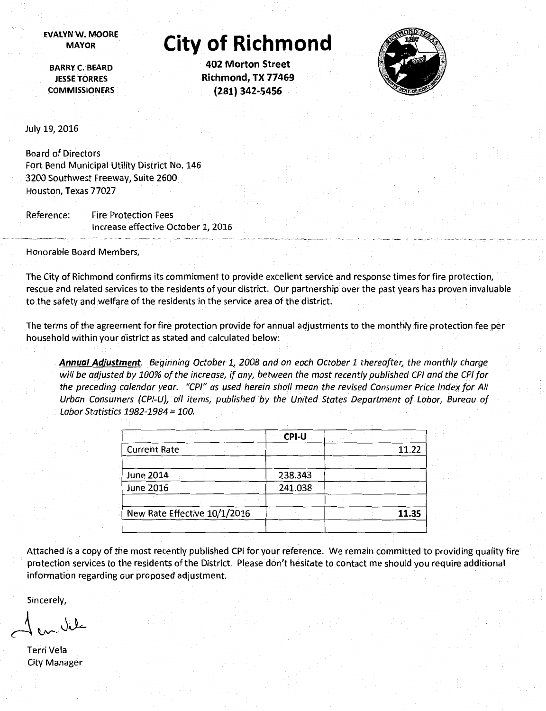**EVALYN W. MOORE** 

## **MAYOR City of Richmond**

**BARRY C. BEARD JESSE TORRES COMMISSIONERS** 

**402 Morton Street Richmond, TX 77469 (281) 342-5456** 



July 19, 2016

Board of Directors Fort Bend Municipal Utility District No. 146 3200 Southwest Freeway, Suite 2600 Houston, Texas 77027

Reference: Fire Protection Fees Increase effective October 1, 2016

Honorable Board Members,

The City of Richmond confirms its commitment to provide excellent service and response times for fire protection, rescue and related services to the residents of your district. Our partnership over the past years has proven invaluable to the safety and welfare of the residents in the service area of the district.

The terms of the agreement for fire protection provide for annual adjustments to the monthly fire protection fee per household within your district as stated and calculated below:

**Annual Adjustment.** Beginning October 1, 2008 and on each October 1 thereafter, the monthly charge will be adjusted by 100% of the increase, if any, between the most recently published CPI and the CPI for the preceding calendar year. "CPI" as used herein shall mean the revised Consumer Price Index for All Urban Consumers {CPI-U}, all items, published by the United States Department of Labor, Bureau of Labor Statistics 1982-1984 = 100.

|                              | CPI-U   |       |
|------------------------------|---------|-------|
| <b>Current Rate</b>          |         | 11.22 |
|                              |         |       |
| <b>June 2014</b>             | 238.343 |       |
| <b>June 2016</b>             | 241.038 |       |
|                              |         |       |
| New Rate Effective 10/1/2016 |         | 11.35 |
|                              |         |       |

Attached is a copy of the most recently published CPI for your reference. We remain committed to providing quality fire protection services to the residents of the District. Please don't hesitate to contact me should you require additional information regarding our proposed adjustment.

Sincerely,

Terri Vela City Manager